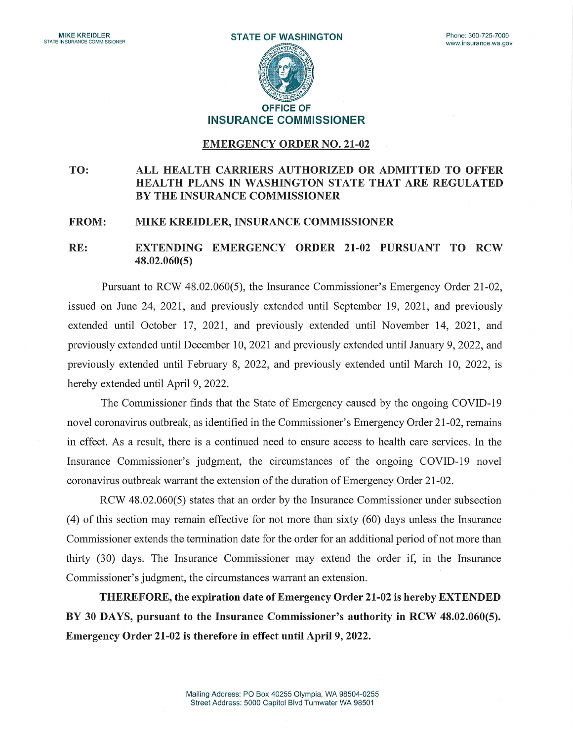

## EMERGENCY ORDER N0. 21-02

## TO: ALL HEALTH CARRIERS AUTHORIZED OR ADMITTED TO OFFER HEALTH PLANS IN WASHINGTON STATE THAT ARE REGULATED BY THE INSURANCE COMMISSIONER

## FROM: MIKE KREIDLER, INSURANCE COMMISSIONER

## RE: EXTENDING EMERGENCY ORDER 21-02 PURSUANT TO RCW 48.02.060(5)

Pursuant to RCW 48.02.060(5), the Insurance Commissioner's Emergency Order 21-02, issued on June 24, 2021, and previously extended until September 19, 2021, and previously extended until October 17, 2021, and previously extended until November 14, 2021, and previously extended until December 10, 2021 and previously extended until January 9, 2022, and previously extended until February 8, 2022, and previously extended until March 10, 2022, is hereby extended until April 9, 2022.

The Commissioner finds that the State of Emergency caused by the ongoing COVID-19 novel coronavirus outbreak, as identified in the Commissioner's Emergency Order 21-02, remains in effect. As a result, there is a continued need to ensure access to health care services. hi the Insurance Commissioner's judgment, the circumstances of the ongoing COVID-19 novel coronavirus outbreak warrant the extension of the duration of Emergency Order 21-02.

RCW 48.02.060(5) states that an order by the Insurance Commissioner under subsection (4) of this section may remain effective for not more than sixty (60) days unless the Insurance Commissioner extends the termination date for the order for an additional period of not more than thirty  $(30)$  days. The Insurance Commissioner may extend the order if, in the Insurance Commissioner's judgment, the circumstances warrant an extension.

THEREFORE, the expiration date of Emergency Order 21-02 is hereby EXTENDED BY 30 DAYS, pursuant to the Insurance Commissioner's authority in RCW 48.02.060(5). Emergency Order 21-02 is therefore in effect until April 9, 2022.